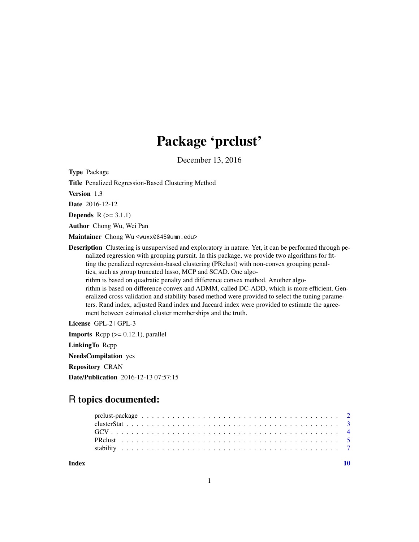# Package 'prclust'

December 13, 2016

Type Package

Title Penalized Regression-Based Clustering Method

Version 1.3

Date 2016-12-12

**Depends**  $R$  ( $>= 3.1.1$ )

Author Chong Wu, Wei Pan

Maintainer Chong Wu <wuxx0845@umn.edu>

Description Clustering is unsupervised and exploratory in nature. Yet, it can be performed through penalized regression with grouping pursuit. In this package, we provide two algorithms for fitting the penalized regression-based clustering (PRclust) with non-convex grouping penalties, such as group truncated lasso, MCP and SCAD. One algorithm is based on quadratic penalty and difference convex method. Another algorithm is based on difference convex and ADMM, called DC-ADD, which is more efficient. Generalized cross validation and stability based method were provided to select the tuning parame-

ters. Rand index, adjusted Rand index and Jaccard index were provided to estimate the agreement between estimated cluster memberships and the truth.

License GPL-2 | GPL-3

**Imports** Rcpp  $(>= 0.12.1)$ , parallel LinkingTo Rcpp

NeedsCompilation yes

Repository CRAN

Date/Publication 2016-12-13 07:57:15

# R topics documented:

 $\blacksquare$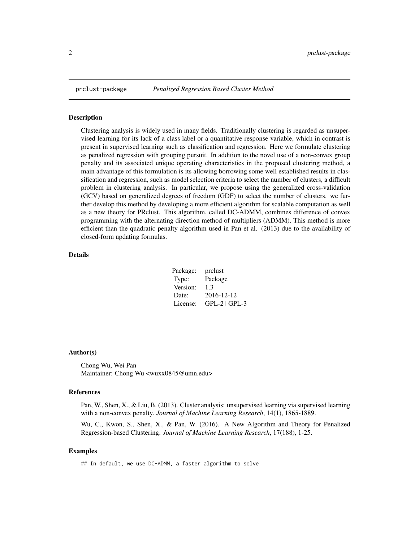<span id="page-1-0"></span>

#### Description

Clustering analysis is widely used in many fields. Traditionally clustering is regarded as unsupervised learning for its lack of a class label or a quantitative response variable, which in contrast is present in supervised learning such as classification and regression. Here we formulate clustering as penalized regression with grouping pursuit. In addition to the novel use of a non-convex group penalty and its associated unique operating characteristics in the proposed clustering method, a main advantage of this formulation is its allowing borrowing some well established results in classification and regression, such as model selection criteria to select the number of clusters, a difficult problem in clustering analysis. In particular, we propose using the generalized cross-validation (GCV) based on generalized degrees of freedom (GDF) to select the number of clusters. we further develop this method by developing a more efficient algorithm for scalable computation as well as a new theory for PRclust. This algorithm, called DC-ADMM, combines difference of convex programming with the alternating direction method of multipliers (ADMM). This method is more efficient than the quadratic penalty algorithm used in Pan et al. (2013) due to the availability of closed-form updating formulas.

#### Details

| prclust         |
|-----------------|
| Package         |
| 1.3             |
| 2016-12-12      |
| $GPL-2$ $GPL-3$ |
|                 |

#### Author(s)

Chong Wu, Wei Pan Maintainer: Chong Wu <wuxx0845@umn.edu>

#### References

Pan, W., Shen, X., & Liu, B. (2013). Cluster analysis: unsupervised learning via supervised learning with a non-convex penalty. *Journal of Machine Learning Research*, 14(1), 1865-1889.

Wu, C., Kwon, S., Shen, X., & Pan, W. (2016). A New Algorithm and Theory for Penalized Regression-based Clustering. *Journal of Machine Learning Research*, 17(188), 1-25.

#### Examples

## In default, we use DC-ADMM, a faster algorithm to solve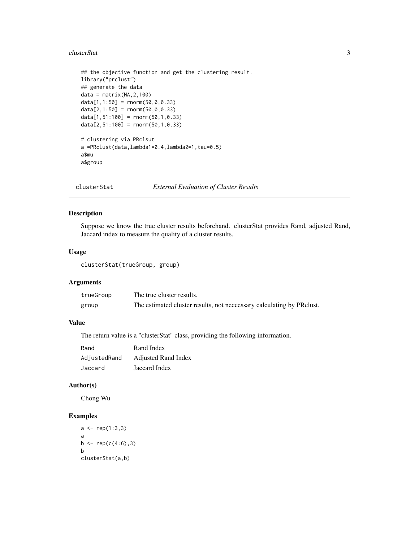#### <span id="page-2-0"></span>clusterStat 3

```
## the objective function and get the clustering result.
library("prclust")
## generate the data
data = matrix(NA, 2, 100)data[1,1:50] = rnorm(50, 0, 0.33)data[2,1:50] = rnorm(50, 0, 0.33)data[1,51:100] = rnorm(50,1,0.33)
data[2,51:100] = rnorm(50,1,0.33)
# clustering via PRclsut
a =PRclust(data,lambda1=0.4,lambda2=1,tau=0.5)
a$mu
a$group
```
clusterStat *External Evaluation of Cluster Results*

#### Description

Suppose we know the true cluster results beforehand. clusterStat provides Rand, adjusted Rand, Jaccard index to measure the quality of a cluster results.

# Usage

clusterStat(trueGroup, group)

# Arguments

| trueGroup | The true cluster results.                                             |
|-----------|-----------------------------------------------------------------------|
| group     | The estimated cluster results, not necessary calculating by PR clust. |

# Value

The return value is a "clusterStat" class, providing the following information.

| Rand         | Rand Index                 |
|--------------|----------------------------|
| AdjustedRand | <b>Adjusted Rand Index</b> |
| Jaccard      | Jaccard Index              |

# Author(s)

Chong Wu

#### Examples

```
a \leftarrow \text{rep}(1:3,3)a
b \leftarrow rep(c(4:6),3)b
clusterStat(a,b)
```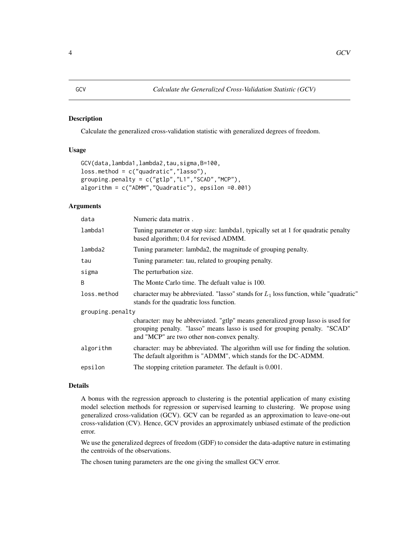#### <span id="page-3-0"></span>Description

Calculate the generalized cross-validation statistic with generalized degrees of freedom.

# Usage

```
GCV(data,lambda1,lambda2,tau,sigma,B=100,
loss.method = c("quadratic","lasso"),
grouping.penalty = c("gtlp", "L1", "SCAD", "MCP"),algorithm = c("ADMM","Quadratic"), epsilon =0.001)
```
#### Arguments

| data             | Numeric data matrix.                                                                                                                                                                                         |
|------------------|--------------------------------------------------------------------------------------------------------------------------------------------------------------------------------------------------------------|
| lambda1          | Tuning parameter or step size: lambda1, typically set at 1 for quadratic penalty<br>based algorithm; 0.4 for revised ADMM.                                                                                   |
| lambda2          | Tuning parameter: lambda2, the magnitude of grouping penalty.                                                                                                                                                |
| tau              | Tuning parameter: tau, related to grouping penalty.                                                                                                                                                          |
| sigma            | The perturbation size.                                                                                                                                                                                       |
| B                | The Monte Carlo time. The defualt value is 100.                                                                                                                                                              |
| loss.method      | character may be abbreviated. "lasso" stands for $L_1$ loss function, while "quadratic"<br>stands for the quadratic loss function.                                                                           |
| grouping.penalty |                                                                                                                                                                                                              |
|                  | character: may be abbreviated. "gtlp" means generalized group lasso is used for<br>grouping penalty. "lasso" means lasso is used for grouping penalty. "SCAD"<br>and "MCP" are two other non-convex penalty. |
| algorithm        | character: may be abbreviated. The algorithm will use for finding the solution.<br>The default algorithm is "ADMM", which stands for the DC-ADMM.                                                            |
| epsilon          | The stopping critetion parameter. The default is 0.001.                                                                                                                                                      |
|                  |                                                                                                                                                                                                              |

#### Details

A bonus with the regression approach to clustering is the potential application of many existing model selection methods for regression or supervised learning to clustering. We propose using generalized cross-validation (GCV). GCV can be regarded as an approximation to leave-one-out cross-validation (CV). Hence, GCV provides an approximately unbiased estimate of the prediction error.

We use the generalized degrees of freedom (GDF) to consider the data-adaptive nature in estimating the centroids of the observations.

The chosen tuning parameters are the one giving the smallest GCV error.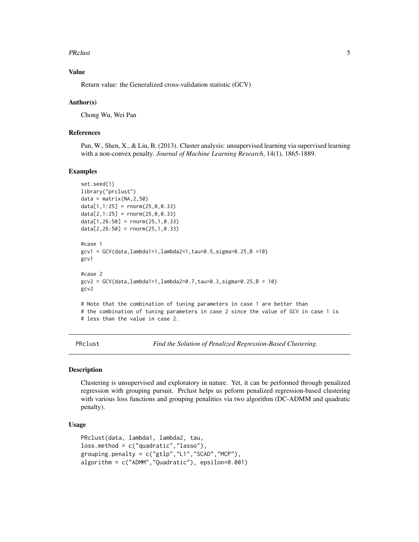#### <span id="page-4-0"></span>PRclust 5

# Value

Return value: the Generalized cross-validation statistic (GCV)

#### Author(s)

Chong Wu, Wei Pan

# References

Pan, W., Shen, X., & Liu, B. (2013). Cluster analysis: unsupervised learning via supervised learning with a non-convex penalty. *Journal of Machine Learning Research*, 14(1), 1865-1889.

#### Examples

```
set.seed(1)
library("prclust")
data = matrix(NA, 2, 50)data[1,1:25] = rnorm(25,0,0.33)data[2,1:25] = rnorm(25,0,0.33)data[1,26:50] = rnorm(25,1,0.33)
data[2,26:50] = rnorm(25,1,0.33)
#case 1
gcv1 = GCV(data,lambda1=1,lambda2=1,tau=0.5,sigma=0.25,B =10)
gcv1
#case 2
gcv2 = GCV(data, lambda1=1, lambda2=0.7, tau=0.3, sigma=0.25, B = 10)gcv2
# Note that the combination of tuning parameters in case 1 are better than
# the combination of tuning parameters in case 2 since the value of GCV in case 1 is
# less than the value in case 2.
```
PRclust *Find the Solution of Penalized Regression-Based Clustering.*

#### **Description**

Clustering is unsupervised and exploratory in nature. Yet, it can be performed through penalized regression with grouping pursuit. Prclust helps us peform penalized regression-based clustering with various loss functions and grouping penalities via two algorithm (DC-ADMM and quadratic penalty).

# Usage

```
PRclust(data, lambda1, lambda2, tau,
loss.method = c("quadratic","lasso"),
grouping.penalty = c("gtlp","L1","SCAD","MCP"),
algorithm = c("ADMM","Quadratic"), epsilon=0.001)
```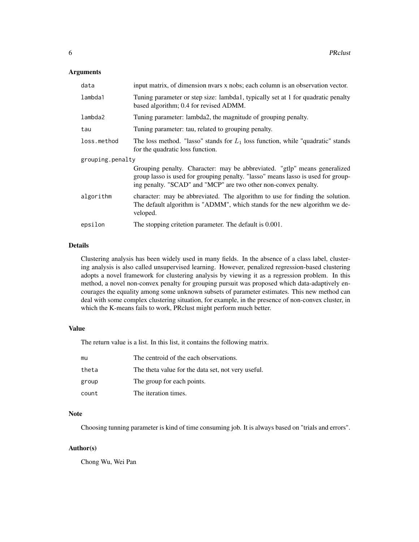#### Arguments

| data             | input matrix, of dimension nyars x nobs; each column is an observation vector.                                                                                                                                                   |  |  |  |  |  |
|------------------|----------------------------------------------------------------------------------------------------------------------------------------------------------------------------------------------------------------------------------|--|--|--|--|--|
| lambda1          | Tuning parameter or step size: lambda1, typically set at 1 for quadratic penalty<br>based algorithm; 0.4 for revised ADMM.                                                                                                       |  |  |  |  |  |
| lambda2          | Tuning parameter: lambda2, the magnitude of grouping penalty.                                                                                                                                                                    |  |  |  |  |  |
| tau              | Tuning parameter: tau, related to grouping penalty.                                                                                                                                                                              |  |  |  |  |  |
| loss.method      | The loss method. "lasso" stands for $L_1$ loss function, while "quadratic" stands<br>for the quadratic loss function.                                                                                                            |  |  |  |  |  |
| grouping.penalty |                                                                                                                                                                                                                                  |  |  |  |  |  |
|                  | Grouping penalty. Character: may be abbreviated. "gtlp" means generalized<br>group lasso is used for grouping penalty. "lasso" means lasso is used for group-<br>ing penalty. "SCAD" and "MCP" are two other non-convex penalty. |  |  |  |  |  |
|                  |                                                                                                                                                                                                                                  |  |  |  |  |  |
| algorithm        | character: may be abbreviated. The algorithm to use for finding the solution.<br>The default algorithm is "ADMM", which stands for the new algorithm we de-<br>veloped.                                                          |  |  |  |  |  |

# Details

Clustering analysis has been widely used in many fields. In the absence of a class label, clustering analysis is also called unsupervised learning. However, penalized regression-based clustering adopts a novel framework for clustering analysis by viewing it as a regression problem. In this method, a novel non-convex penalty for grouping pursuit was proposed which data-adaptively encourages the equality among some unknown subsets of parameter estimates. This new method can deal with some complex clustering situation, for example, in the presence of non-convex cluster, in which the K-means fails to work, PRclust might perform much better.

#### Value

The return value is a list. In this list, it contains the following matrix.

| mu    | The centroid of the each observations.             |
|-------|----------------------------------------------------|
| theta | The theta value for the data set, not very useful. |
| group | The group for each points.                         |
| count | The iteration times.                               |

# Note

Choosing tunning parameter is kind of time consuming job. It is always based on "trials and errors".

# Author(s)

Chong Wu, Wei Pan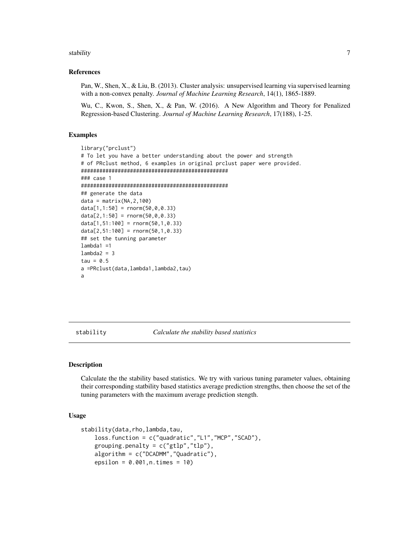#### <span id="page-6-0"></span>stability 7 and 2008 and 2008 and 2008 and 2008 and 2008 and 2008 and 2008 and 2008 and 2008 and 2008 and 2008

#### References

Pan, W., Shen, X., & Liu, B. (2013). Cluster analysis: unsupervised learning via supervised learning with a non-convex penalty. *Journal of Machine Learning Research*, 14(1), 1865-1889.

Wu, C., Kwon, S., Shen, X., & Pan, W. (2016). A New Algorithm and Theory for Penalized Regression-based Clustering. *Journal of Machine Learning Research*, 17(188), 1-25.

#### Examples

```
library("prclust")
# To let you have a better understanding about the power and strength
# of PRclust method, 6 examples in original prclust paper were provided.
################################################
### case 1
################################################
## generate the data
data = matrix(NA, 2, 100)data[1,1:50] = rnorm(50, 0, 0.33)data[2,1:50] = rnorm(50, 0, 0.33)data[1,51:100] = rnorm(50,1,0.33)
data[2,51:100] = rnorm(50,1,0.33)
## set the tunning parameter
lambda1 =1
lambda2 = 3tau = 0.5a =PRclust(data,lambda1,lambda2,tau)
a
```
stability *Calculate the stability based statistics*

## **Description**

Calculate the the stability based statistics. We try with various tuning parameter values, obtaining their corresponding statbility based statistics average prediction strengths, then choose the set of the tuning parameters with the maximum average prediction stength.

#### Usage

```
stability(data,rho,lambda,tau,
   loss.function = c("quadratic","L1","MCP","SCAD"),
    grouping.penalty = c("gtlp", "tlp"),
   algorithm = c("DCADMM","Quadratic"),
   epsilon = 0.001,n.times = 10)
```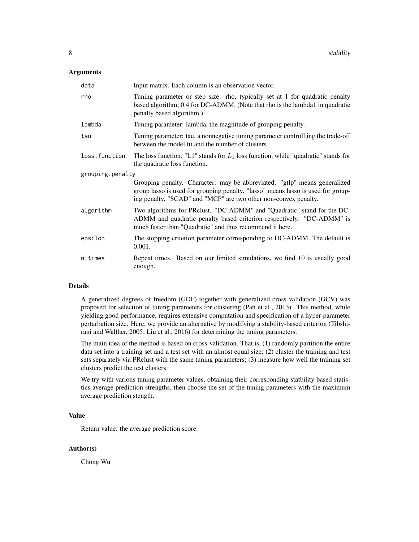#### Arguments

| data             | Input matrix. Each column is an observation vector.                                                                                                                                                                              |  |  |  |  |  |  |  |
|------------------|----------------------------------------------------------------------------------------------------------------------------------------------------------------------------------------------------------------------------------|--|--|--|--|--|--|--|
| rho              | Tuning parameter or step size: rho, typically set at 1 for quadratic penalty<br>based algorithm; 0.4 for DC-ADMM. (Note that rho is the lambda1 in quadratic<br>penalty based algorithm.)                                        |  |  |  |  |  |  |  |
| lambda           | Tuning parameter: lambda, the magnitude of grouping penalty.                                                                                                                                                                     |  |  |  |  |  |  |  |
| tau              | Tuning parameter: tau, a nonnegative tuning parameter controll ing the trade-off<br>between the model fit and the number of clusters.                                                                                            |  |  |  |  |  |  |  |
| loss.function    | The loss function. "L1" stands for $L_1$ loss function, while "quadratic" stands for<br>the quadratic loss function.                                                                                                             |  |  |  |  |  |  |  |
| grouping.penalty |                                                                                                                                                                                                                                  |  |  |  |  |  |  |  |
|                  | Grouping penalty. Character: may be abbreviated. "gtlp" means generalized<br>group lasso is used for grouping penalty. "lasso" means lasso is used for group-<br>ing penalty. "SCAD" and "MCP" are two other non-convex penalty. |  |  |  |  |  |  |  |
| algorithm        | Two algorithms for PRclust. "DC-ADMM" and "Quadratic" stand for the DC-<br>ADMM and quadratic penalty based criterion respectively. "DC-ADMM" is<br>much faster than "Quadratic" and thus recommend it here.                     |  |  |  |  |  |  |  |
| epsilon          | The stopping critetion parameter corresponding to DC-ADMM. The default is<br>0.001.                                                                                                                                              |  |  |  |  |  |  |  |
| n.times          | Repeat times. Based on our limited simulations, we find 10 is usually good<br>enough.                                                                                                                                            |  |  |  |  |  |  |  |

# Details

A generalized degrees of freedom (GDF) together with generalized cross validation (GCV) was proposed for selection of tuning parameters for clustering (Pan et al., 2013). This method, while yielding good performance, requires extensive computation and specification of a hyper-parameter perturbation size. Here, we provide an alternative by modifying a stability-based criterion (Tibshirani and Walther, 2005; Liu et al., 2016) for determining the tuning parameters.

The main idea of the method is based on cross-validation. That is, (1) randomly partition the entire data set into a training set and a test set with an almost equal size; (2) cluster the training and test sets separately via PRclust with the same tuning parameters; (3) measure how well the training set clusters predict the test clusters.

We try with various tuning parameter values, obtaining their corresponding statbility based statistics average prediction strengths, then choose the set of the tuning parameters with the maximum average prediction stength.

#### Value

Return value: the average prediction score.

# Author(s)

Chong Wu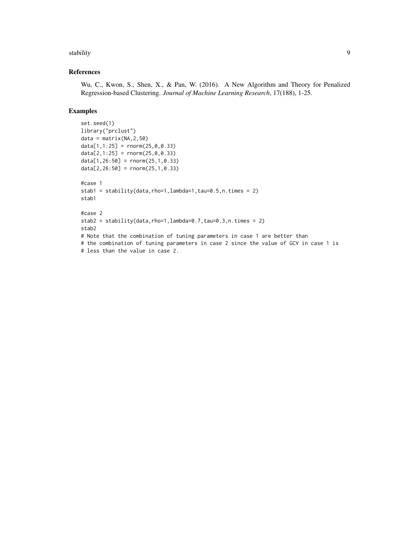#### stability and the stability of the stability of the stability of the stability of the stability of the stability of the stability of the stability of the stability of the stability of the stability of the stability of the

# References

Wu, C., Kwon, S., Shen, X., & Pan, W. (2016). A New Algorithm and Theory for Penalized Regression-based Clustering. *Journal of Machine Learning Research*, 17(188), 1-25.

# Examples

```
set.seed(1)
library("prclust")
data = matrix(NA,2,50)
data[1,1:25] = rnorm(25,0,0.33)data[2,1:25] = rnorm(25,0,0.33)data[1,26:50] = rnorm(25,1,0.33)
data[2,26:50] = rnorm(25,1,0.33)
#case 1
stab1 = stability(data,rho=1,lambda=1,tau=0.5,n.time=2)stab1
#case 2
stab2 = stability(data,rho=1,lambda=0.7,tau=0.3,n.times = 2)
stab2
# Note that the combination of tuning parameters in case 1 are better than
# the combination of tuning parameters in case 2 since the value of GCV in case 1 is
# less than the value in case 2.
```